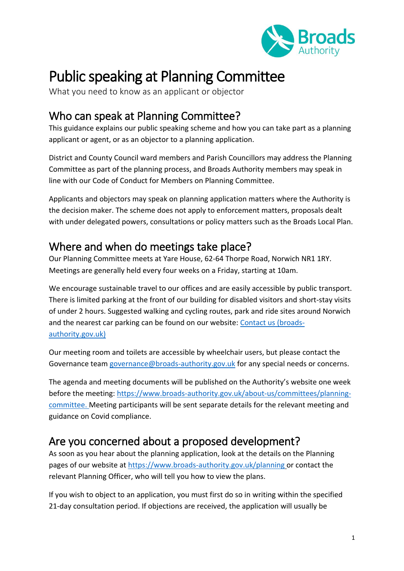

# Public speaking at Planning Committee

What you need to know as an applicant or objector

### Who can speak at Planning Committee?

This guidance explains our public speaking scheme and how you can take part as a planning applicant or agent, or as an objector to a planning application.

District and County Council ward members and Parish Councillors may address the Planning Committee as part of the planning process, and Broads Authority members may speak in line with our Code of Conduct for Members on Planning Committee.

Applicants and objectors may speak on planning application matters where the Authority is the decision maker. The scheme does not apply to enforcement matters, proposals dealt with under delegated powers, consultations or policy matters such as the Broads Local Plan.

### Where and when do meetings take place?

Our Planning Committee meets at Yare House, 62-64 Thorpe Road, Norwich NR1 1RY. Meetings are generally held every four weeks on a Friday, starting at 10am.

We encourage sustainable travel to our offices and are easily accessible by public transport. There is limited parking at the front of our building for disabled visitors and short-stay visits of under 2 hours. Suggested walking and cycling routes, park and ride sites around Norwich and the nearest car parking can be found on our website: [Contact us \(broads](https://www.broads-authority.gov.uk/contact-us)[authority.gov.uk\)](https://www.broads-authority.gov.uk/contact-us)

Our meeting room and toilets are accessible by wheelchair users, but please contact the Governance team [governance@broads-authority.gov.uk](mailto:governance@broads-authority.gov.uk) for any special needs or concerns.

The agenda and meeting documents will be published on the Authority's website one week before the meeting: [https://www.broads-authority.gov.uk/about-us/committees/planning](https://www.broads-authority.gov.uk/about-us/committees/planning-committee)[committee.](https://www.broads-authority.gov.uk/about-us/committees/planning-committee) Meeting participants will be sent separate details for the relevant meeting and guidance on Covid compliance.

# Are you concerned about a proposed development?

As soon as you hear about the planning application, look at the details on the Planning pages of our website at<https://www.broads-authority.gov.uk/planning> or contact the relevant Planning Officer, who will tell you how to view the plans.

If you wish to object to an application, you must first do so in writing within the specified 21-day consultation period. If objections are received, the application will usually be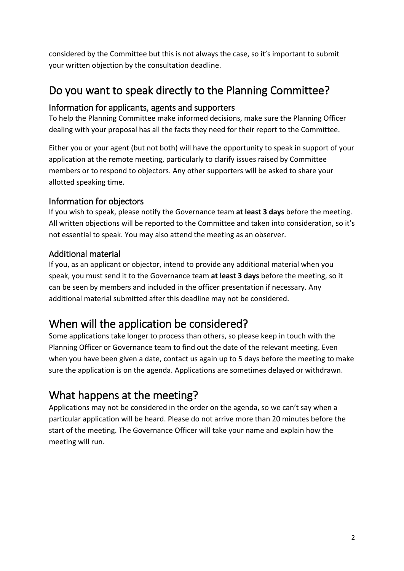considered by the Committee but this is not always the case, so it's important to submit your written objection by the consultation deadline.

# Do you want to speak directly to the Planning Committee?

### Information for applicants, agents and supporters

To help the Planning Committee make informed decisions, make sure the Planning Officer dealing with your proposal has all the facts they need for their report to the Committee.

Either you or your agent (but not both) will have the opportunity to speak in support of your application at the remote meeting, particularly to clarify issues raised by Committee members or to respond to objectors. Any other supporters will be asked to share your allotted speaking time.

### Information for objectors

If you wish to speak, please notify the Governance team **at least 3 days** before the meeting. All written objections will be reported to the Committee and taken into consideration, so it's not essential to speak. You may also attend the meeting as an observer.

### Additional material

If you, as an applicant or objector, intend to provide any additional material when you speak, you must send it to the Governance team **at least 3 days** before the meeting, so it can be seen by members and included in the officer presentation if necessary. Any additional material submitted after this deadline may not be considered.

# When will the application be considered?

Some applications take longer to process than others, so please keep in touch with the Planning Officer or Governance team to find out the date of the relevant meeting. Even when you have been given a date, contact us again up to 5 days before the meeting to make sure the application is on the agenda. Applications are sometimes delayed or withdrawn.

# What happens at the meeting?

Applications may not be considered in the order on the agenda, so we can't say when a particular application will be heard. Please do not arrive more than 20 minutes before the start of the meeting. The Governance Officer will take your name and explain how the meeting will run.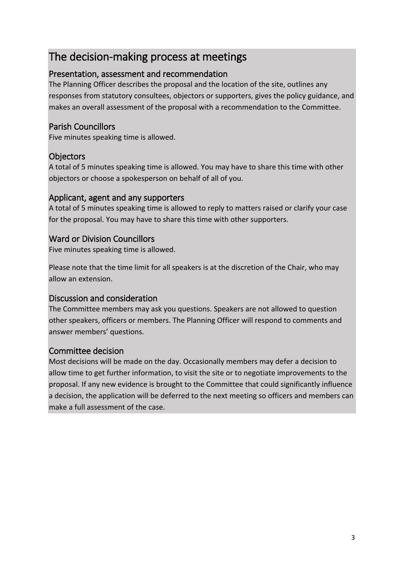### The decision-making process at meetings

### Presentation, assessment and recommendation

The Planning Officer describes the proposal and the location of the site, outlines any responses from statutory consultees, objectors or supporters, gives the policy guidance, and makes an overall assessment of the proposal with a recommendation to the Committee.

### Parish Councillors

Five minutes speaking time is allowed.

### **Objectors**

A total of 5 minutes speaking time is allowed. You may have to share this time with other objectors or choose a spokesperson on behalf of all of you.

#### Applicant, agent and any supporters

A total of 5 minutes speaking time is allowed to reply to matters raised or clarify your case for the proposal. You may have to share this time with other supporters.

### Ward or Division Councillors

Five minutes speaking time is allowed.

Please note that the time limit for all speakers is at the discretion of the Chair, who may allow an extension.

### Discussion and consideration

The Committee members may ask you questions. Speakers are not allowed to question other speakers, officers or members. The Planning Officer will respond to comments and answer members' questions.

### Committee decision

Most decisions will be made on the day. Occasionally members may defer a decision to allow time to get further information, to visit the site or to negotiate improvements to the proposal. If any new evidence is brought to the Committee that could significantly influence a decision, the application will be deferred to the next meeting so officers and members can make a full assessment of the case.